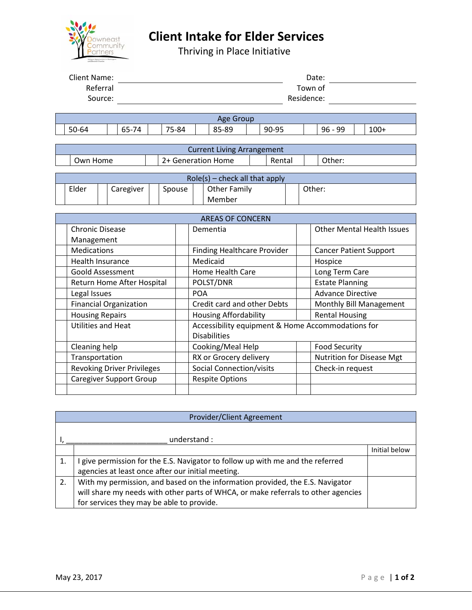

## **Client Intake for Elder Services**

Thriving in Place Initiative

|                                   | <b>Client Name:</b><br>Referral |           | Date:<br>Town of |                                                   |                                    |                                  |  |        |                       |                                   |        |  |  |  |  |  |
|-----------------------------------|---------------------------------|-----------|------------------|---------------------------------------------------|------------------------------------|----------------------------------|--|--------|-----------------------|-----------------------------------|--------|--|--|--|--|--|
| Source:                           |                                 |           |                  |                                                   | Residence:                         |                                  |  |        |                       |                                   |        |  |  |  |  |  |
|                                   |                                 |           |                  |                                                   |                                    |                                  |  |        |                       |                                   |        |  |  |  |  |  |
|                                   |                                 |           |                  |                                                   | Age Group                          |                                  |  |        |                       |                                   |        |  |  |  |  |  |
| 50-64<br>65-74                    |                                 |           |                  | 75-84                                             | 85-89<br>90-95                     |                                  |  |        |                       | $96 - 99$<br>$100+$               |        |  |  |  |  |  |
|                                   |                                 |           |                  |                                                   |                                    |                                  |  |        |                       |                                   |        |  |  |  |  |  |
|                                   |                                 |           |                  |                                                   | <b>Current Living Arrangement</b>  |                                  |  |        |                       |                                   |        |  |  |  |  |  |
|                                   | Own Home                        |           |                  |                                                   |                                    | 2+ Generation Home               |  | Rental |                       |                                   | Other: |  |  |  |  |  |
|                                   |                                 |           |                  |                                                   |                                    | $Role(s)$ – check all that apply |  |        |                       |                                   |        |  |  |  |  |  |
|                                   | Elder                           | Caregiver |                  | Spouse                                            |                                    | <b>Other Family</b>              |  |        |                       | Other:                            |        |  |  |  |  |  |
|                                   |                                 |           |                  |                                                   |                                    | Member                           |  |        |                       |                                   |        |  |  |  |  |  |
|                                   |                                 |           |                  |                                                   |                                    |                                  |  |        |                       |                                   |        |  |  |  |  |  |
|                                   |                                 |           |                  |                                                   |                                    | <b>AREAS OF CONCERN</b>          |  |        |                       |                                   |        |  |  |  |  |  |
| <b>Chronic Disease</b>            |                                 |           |                  |                                                   | Dementia                           |                                  |  |        |                       | <b>Other Mental Health Issues</b> |        |  |  |  |  |  |
| Management                        |                                 |           |                  |                                                   |                                    |                                  |  |        |                       |                                   |        |  |  |  |  |  |
| <b>Medications</b>                |                                 |           |                  |                                                   | <b>Finding Healthcare Provider</b> |                                  |  |        |                       | <b>Cancer Patient Support</b>     |        |  |  |  |  |  |
| <b>Health Insurance</b>           |                                 |           |                  |                                                   | Medicaid                           |                                  |  |        |                       | Hospice                           |        |  |  |  |  |  |
| Goold Assessment                  |                                 |           |                  |                                                   | <b>Home Health Care</b>            |                                  |  |        |                       | Long Term Care                    |        |  |  |  |  |  |
| Return Home After Hospital        |                                 |           |                  |                                                   | POLST/DNR                          |                                  |  |        |                       | <b>Estate Planning</b>            |        |  |  |  |  |  |
| Legal Issues                      |                                 |           |                  |                                                   | <b>POA</b>                         |                                  |  |        |                       | <b>Advance Directive</b>          |        |  |  |  |  |  |
| <b>Financial Organization</b>     |                                 |           |                  |                                                   | Credit card and other Debts        |                                  |  |        |                       | Monthly Bill Management           |        |  |  |  |  |  |
| <b>Housing Repairs</b>            |                                 |           |                  | <b>Housing Affordability</b>                      |                                    |                                  |  |        | <b>Rental Housing</b> |                                   |        |  |  |  |  |  |
| <b>Utilities and Heat</b>         |                                 |           |                  | Accessibility equipment & Home Accommodations for |                                    |                                  |  |        |                       |                                   |        |  |  |  |  |  |
|                                   |                                 |           |                  |                                                   | <b>Disabilities</b>                |                                  |  |        |                       |                                   |        |  |  |  |  |  |
| Cleaning help                     |                                 |           |                  |                                                   | Cooking/Meal Help                  |                                  |  |        |                       | <b>Food Security</b>              |        |  |  |  |  |  |
| Transportation                    |                                 |           |                  |                                                   | RX or Grocery delivery             |                                  |  |        |                       | <b>Nutrition for Disease Mgt</b>  |        |  |  |  |  |  |
| <b>Revoking Driver Privileges</b> |                                 |           |                  |                                                   | Social Connection/visits           |                                  |  |        | Check-in request      |                                   |        |  |  |  |  |  |
| <b>Caregiver Support Group</b>    |                                 |           |                  |                                                   | <b>Respite Options</b>             |                                  |  |        |                       |                                   |        |  |  |  |  |  |
|                                   |                                 |           |                  |                                                   |                                    |                                  |  |        |                       |                                   |        |  |  |  |  |  |

|    | Provider/Client Agreement                                                         |               |  |  |  |  |  |
|----|-----------------------------------------------------------------------------------|---------------|--|--|--|--|--|
|    |                                                                                   |               |  |  |  |  |  |
|    | understand:                                                                       |               |  |  |  |  |  |
|    |                                                                                   | Initial below |  |  |  |  |  |
| 1. | I give permission for the E.S. Navigator to follow up with me and the referred    |               |  |  |  |  |  |
|    | agencies at least once after our initial meeting.                                 |               |  |  |  |  |  |
| 2. | With my permission, and based on the information provided, the E.S. Navigator     |               |  |  |  |  |  |
|    | will share my needs with other parts of WHCA, or make referrals to other agencies |               |  |  |  |  |  |
|    | for services they may be able to provide.                                         |               |  |  |  |  |  |